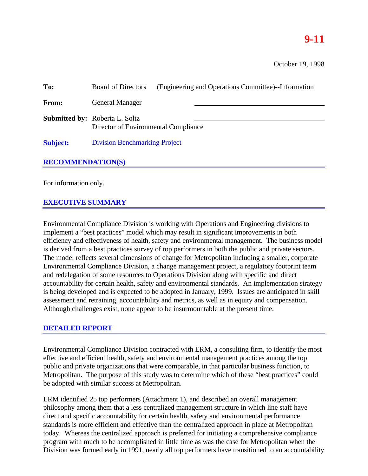# **9-11**

| To:                      | (Engineering and Operations Committee)--Information<br><b>Board of Directors</b> |
|--------------------------|----------------------------------------------------------------------------------|
| From:                    | <b>General Manager</b>                                                           |
|                          | <b>Submitted by: Roberta L. Soltz</b><br>Director of Environmental Compliance    |
| <b>Subject:</b>          | <b>Division Benchmarking Project</b>                                             |
| <b>RECOMMENDATION(S)</b> |                                                                                  |

For information only.

## **EXECUTIVE SUMMARY**

Environmental Compliance Division is working with Operations and Engineering divisions to implement a "best practices" model which may result in significant improvements in both efficiency and effectiveness of health, safety and environmental management. The business model is derived from a best practices survey of top performers in both the public and private sectors. The model reflects several dimensions of change for Metropolitan including a smaller, corporate Environmental Compliance Division, a change management project, a regulatory footprint team and redelegation of some resources to Operations Division along with specific and direct accountability for certain health, safety and environmental standards. An implementation strategy is being developed and is expected to be adopted in January, 1999. Issues are anticipated in skill assessment and retraining, accountability and metrics, as well as in equity and compensation. Although challenges exist, none appear to be insurmountable at the present time.

#### **DETAILED REPORT**

Environmental Compliance Division contracted with ERM, a consulting firm, to identify the most effective and efficient health, safety and environmental management practices among the top public and private organizations that were comparable, in that particular business function, to Metropolitan. The purpose of this study was to determine which of these "best practices" could be adopted with similar success at Metropolitan.

ERM identified 25 top performers (Attachment 1), and described an overall management philosophy among them that a less centralized management structure in which line staff have direct and specific accountability for certain health, safety and environmental performance standards is more efficient and effective than the centralized approach in place at Metropolitan today. Whereas the centralized approach is preferred for initiating a comprehensive compliance program with much to be accomplished in little time as was the case for Metropolitan when the Division was formed early in 1991, nearly all top performers have transitioned to an accountability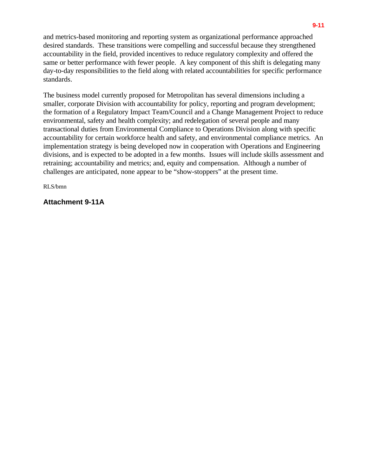and metrics-based monitoring and reporting system as organizational performance approached desired standards. These transitions were compelling and successful because they strengthened accountability in the field, provided incentives to reduce regulatory complexity and offered the same or better performance with fewer people. A key component of this shift is delegating many day-to-day responsibilities to the field along with related accountabilities for specific performance standards.

The business model currently proposed for Metropolitan has several dimensions including a smaller, corporate Division with accountability for policy, reporting and program development; the formation of a Regulatory Impact Team/Council and a Change Management Project to reduce environmental, safety and health complexity; and redelegation of several people and many transactional duties from Environmental Compliance to Operations Division along with specific accountability for certain workforce health and safety, and environmental compliance metrics. An implementation strategy is being developed now in cooperation with Operations and Engineering divisions, and is expected to be adopted in a few months. Issues will include skills assessment and retraining; accountability and metrics; and, equity and compensation. Although a number of challenges are anticipated, none appear to be "show-stoppers" at the present time.

RLS/bmn

#### **Attachment 9-11A**